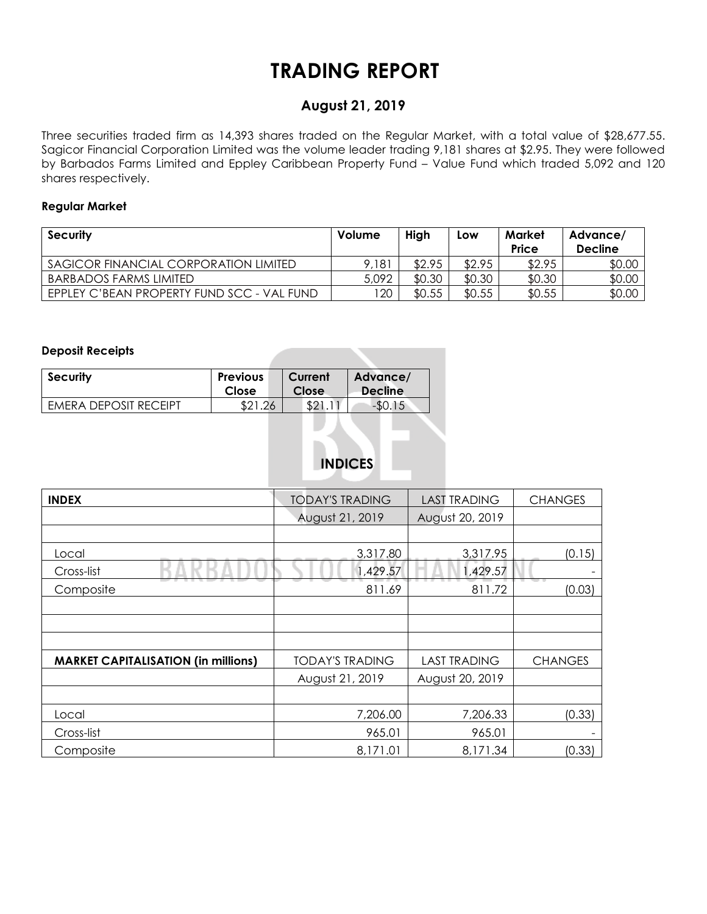# **TRADING REPORT**

## **August 21, 2019**

Three securities traded firm as 14,393 shares traded on the Regular Market, with a total value of \$28,677.55. Sagicor Financial Corporation Limited was the volume leader trading 9,181 shares at \$2.95. They were followed by Barbados Farms Limited and Eppley Caribbean Property Fund – Value Fund which traded 5,092 and 120 shares respectively.

#### **Regular Market**

| <b>Security</b>                            | Volume | High   | Low    | Market<br>Price | Advance/<br><b>Decline</b> |
|--------------------------------------------|--------|--------|--------|-----------------|----------------------------|
| SAGICOR FINANCIAL CORPORATION LIMITED      | 9,181  | \$2.95 | \$2.95 | \$2.95          | \$0.00                     |
| <b>BARBADOS FARMS LIMITED</b>              | 5,092  | \$0.30 | \$0.30 | \$0.30          | \$0.00                     |
| EPPLEY C'BEAN PROPERTY FUND SCC - VAL FUND | 120    | \$0.55 | \$0.55 | \$0.55          | \$0.00                     |

#### **Deposit Receipts**

| <b>Security</b>       | <b>Previous</b> | Current | Advance/       |
|-----------------------|-----------------|---------|----------------|
|                       | Close           | Close   | <b>Decline</b> |
| EMERA DEPOSIT RECEIPT |                 | \$2.    | $-DU$          |

# **INDICES**

| <b>INDEX</b>                               | <b>TODAY'S TRADING</b> | <b>LAST TRADING</b> | <b>CHANGES</b> |
|--------------------------------------------|------------------------|---------------------|----------------|
|                                            | August 21, 2019        | August 20, 2019     |                |
|                                            |                        |                     |                |
| Local                                      | 3,317.80               | 3,317.95            | (0.15)         |
| Cross-list                                 | 1,429.57               | 1,429.57            |                |
| Composite                                  | 811.69                 | 811.72              | (0.03)         |
|                                            |                        |                     |                |
|                                            |                        |                     |                |
|                                            |                        |                     |                |
| <b>MARKET CAPITALISATION (in millions)</b> | <b>TODAY'S TRADING</b> | <b>LAST TRADING</b> | <b>CHANGES</b> |
|                                            | August 21, 2019        | August 20, 2019     |                |
|                                            |                        |                     |                |
| Local                                      | 7,206.00               | 7,206.33            | (0.33)         |
| Cross-list                                 | 965.01                 | 965.01              |                |
| Composite                                  | 8,171.01               | 8,171.34            | (0.33)         |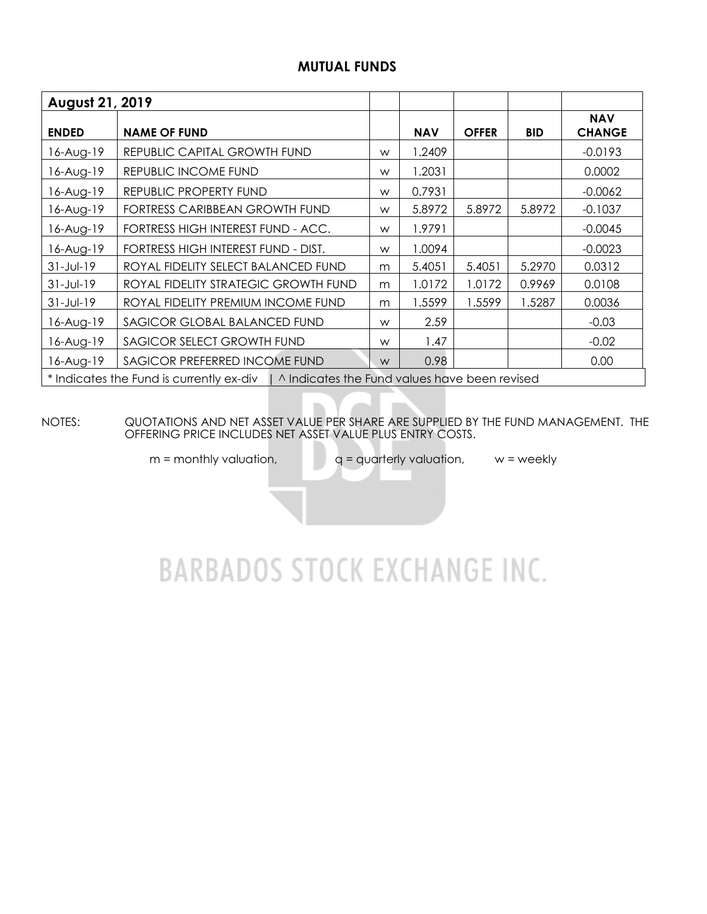### **MUTUAL FUNDS**

| August 21, 2019 |                                                                                          |   |            |              |            |                             |
|-----------------|------------------------------------------------------------------------------------------|---|------------|--------------|------------|-----------------------------|
| <b>ENDED</b>    | <b>NAME OF FUND</b>                                                                      |   | <b>NAV</b> | <b>OFFER</b> | <b>BID</b> | <b>NAV</b><br><b>CHANGE</b> |
| 6-Aug-19        | REPUBLIC CAPITAL GROWTH FUND                                                             | W | 1.2409     |              |            | $-0.0193$                   |
| 16-Aug-19       | REPUBLIC INCOME FUND                                                                     | W | 1.2031     |              |            | 0.0002                      |
| 16-Aug-19       | REPUBLIC PROPERTY FUND                                                                   | W | 0.7931     |              |            | $-0.0062$                   |
| 6-Aug-19        | FORTRESS CARIBBEAN GROWTH FUND                                                           | W | 5.8972     | 5.8972       | 5.8972     | $-0.1037$                   |
| 16-Aug-19       | FORTRESS HIGH INTEREST FUND - ACC.                                                       | W | 1.9791     |              |            | $-0.0045$                   |
| 6-Aug-19        | FORTRESS HIGH INTEREST FUND - DIST.                                                      | W | 1.0094     |              |            | $-0.0023$                   |
| $31 - Jul - 19$ | ROYAL FIDELITY SELECT BALANCED FUND                                                      | m | 5.4051     | 5.4051       | 5.2970     | 0.0312                      |
| $31 - Jul - 19$ | ROYAL FIDELITY STRATEGIC GROWTH FUND                                                     | m | 1.0172     | 1.0172       | 0.9969     | 0.0108                      |
| $31 - Jul - 19$ | ROYAL FIDELITY PREMIUM INCOME FUND                                                       | m | 1.5599     | 1.5599       | 1.5287     | 0.0036                      |
| 16-Aug-19       | SAGICOR GLOBAL BALANCED FUND                                                             | W | 2.59       |              |            | $-0.03$                     |
| 16-Aug-19       | SAGICOR SELECT GROWTH FUND                                                               | W | 1.47       |              |            | $-0.02$                     |
| 16-Aug-19       | SAGICOR PREFERRED INCOME FUND                                                            | W | 0.98       |              |            | 0.00                        |
|                 | * Indicates the Fund is currently ex-div   ^ Indicates the Fund values have been revised |   |            |              |            |                             |

NOTES: QUOTATIONS AND NET ASSET VALUE PER SHARE ARE SUPPLIED BY THE FUND MANAGEMENT. THE OFFERING PRICE INCLUDES NET ASSET VALUE PLUS ENTRY COSTS.

 $m =$  monthly valuation,  $q =$  quarterly valuation,  $w =$  weekly

# **BARBADOS STOCK EXCHANGE INC.**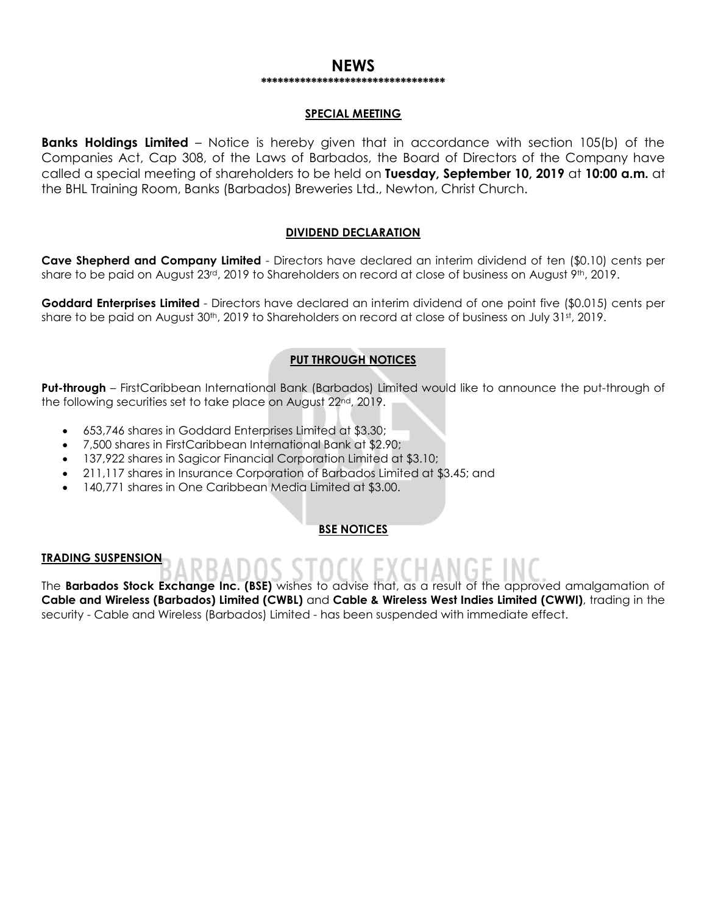#### **NEWS \*\*\*\*\*\*\*\*\*\*\*\*\*\*\*\*\*\*\*\*\*\*\*\*\*\*\*\*\*\*\*\*\***

#### **SPECIAL MEETING**

**Banks Holdings Limited** – Notice is hereby given that in accordance with section 105(b) of the Companies Act, Cap 308, of the Laws of Barbados, the Board of Directors of the Company have called a special meeting of shareholders to be held on **Tuesday, September 10, 2019** at **10:00 a.m.** at the BHL Training Room, Banks (Barbados) Breweries Ltd., Newton, Christ Church.

#### **DIVIDEND DECLARATION**

**Cave Shepherd and Company Limited** - Directors have declared an interim dividend of ten (\$0.10) cents per share to be paid on August 23<sup>rd</sup>, 2019 to Shareholders on record at close of business on August 9th, 2019.

**Goddard Enterprises Limited** - Directors have declared an interim dividend of one point five (\$0.015) cents per share to be paid on August 30<sup>th</sup>, 2019 to Shareholders on record at close of business on July 31st, 2019.

#### **PUT THROUGH NOTICES**

**Put-through** – FirstCaribbean International Bank (Barbados) Limited would like to announce the put-through of the following securities set to take place on August 22nd, 2019.

- 653,746 shares in Goddard Enterprises Limited at \$3.30;
- 7,500 shares in FirstCaribbean International Bank at \$2.90;
- 137,922 shares in Sagicor Financial Corporation Limited at \$3.10;
- 211,117 shares in Insurance Corporation of Barbados Limited at \$3.45; and
- 140,771 shares in One Caribbean Media Limited at \$3.00.

#### **BSE NOTICES**

#### **TRADING SUSPENSION**

The **Barbados Stock Exchange Inc. (BSE)** wishes to advise that, as a result of the approved amalgamation of **Cable and Wireless (Barbados) Limited (CWBL)** and **Cable & Wireless West Indies Limited (CWWI)**, trading in the security - Cable and Wireless (Barbados) Limited - has been suspended with immediate effect.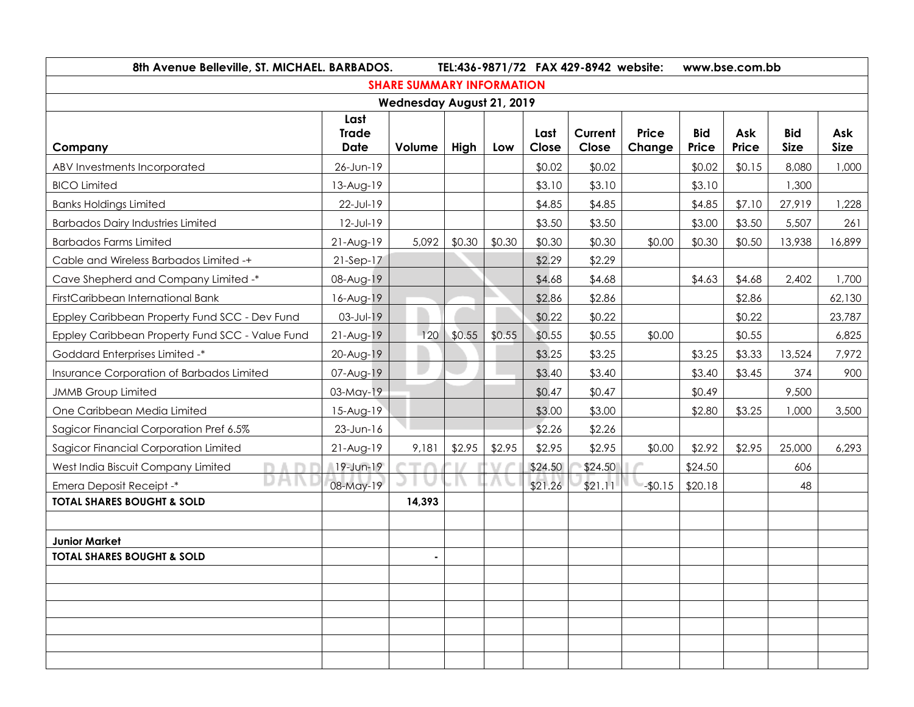| 8th Avenue Belleville, ST. MICHAEL. BARBADOS.   |                                     |                                  | TEL:436-9871/72 FAX 429-8942 website: |        |               |                  |                        | www.bse.com.bb      |              |                           |                    |  |
|-------------------------------------------------|-------------------------------------|----------------------------------|---------------------------------------|--------|---------------|------------------|------------------------|---------------------|--------------|---------------------------|--------------------|--|
|                                                 |                                     | <b>SHARE SUMMARY INFORMATION</b> |                                       |        |               |                  |                        |                     |              |                           |                    |  |
|                                                 |                                     | <b>Wednesday August 21, 2019</b> |                                       |        |               |                  |                        |                     |              |                           |                    |  |
| Company                                         | Last<br><b>Trade</b><br><b>Date</b> | Volume                           | High                                  | Low    | Last<br>Close | Current<br>Close | <b>Price</b><br>Change | <b>Bid</b><br>Price | Ask<br>Price | <b>Bid</b><br><b>Size</b> | Ask<br><b>Size</b> |  |
| ABV Investments Incorporated                    | 26-Jun-19                           |                                  |                                       |        | \$0.02        | \$0.02           |                        | \$0.02              | \$0.15       | 8,080                     | 1,000              |  |
| <b>BICO Limited</b>                             | 13-Aug-19                           |                                  |                                       |        | \$3.10        | \$3.10           |                        | \$3.10              |              | 1,300                     |                    |  |
| <b>Banks Holdings Limited</b>                   | 22-Jul-19                           |                                  |                                       |        | \$4.85        | \$4.85           |                        | \$4.85              | \$7.10       | 27,919                    | 1,228              |  |
| <b>Barbados Dairy Industries Limited</b>        | 12-Jul-19                           |                                  |                                       |        | \$3.50        | \$3.50           |                        | \$3.00              | \$3.50       | 5,507                     | 261                |  |
| <b>Barbados Farms Limited</b>                   | $21-Aug-19$                         | 5,092                            | \$0.30                                | \$0.30 | \$0.30        | \$0.30           | \$0.00                 | \$0.30              | \$0.50       | 13,938                    | 16,899             |  |
| Cable and Wireless Barbados Limited -+          | $21-Sep-17$                         |                                  |                                       |        | \$2.29        | \$2.29           |                        |                     |              |                           |                    |  |
| Cave Shepherd and Company Limited -*            | 08-Aug-19                           |                                  |                                       |        | \$4.68        | \$4.68           |                        | \$4.63              | \$4.68       | 2,402                     | 1,700              |  |
| FirstCaribbean International Bank               | 16-Aug-19                           |                                  |                                       |        | \$2.86        | \$2.86           |                        |                     | \$2.86       |                           | 62,130             |  |
| Eppley Caribbean Property Fund SCC - Dev Fund   | 03-Jul-19                           |                                  |                                       |        | \$0.22        | \$0.22           |                        |                     | \$0.22       |                           | 23,787             |  |
| Eppley Caribbean Property Fund SCC - Value Fund | $21-Aug-19$                         | 120                              | \$0.55                                | \$0.55 | \$0.55        | \$0.55           | \$0.00                 |                     | \$0.55       |                           | 6,825              |  |
| Goddard Enterprises Limited -*                  | 20-Aug-19                           |                                  |                                       |        | \$3.25        | \$3.25           |                        | \$3.25              | \$3.33       | 13,524                    | 7,972              |  |
| Insurance Corporation of Barbados Limited       | 07-Aug-19                           |                                  |                                       |        | \$3.40        | \$3.40           |                        | \$3.40              | \$3.45       | 374                       | 900                |  |
| <b>JMMB Group Limited</b>                       | 03-May-19                           |                                  |                                       |        | \$0.47        | \$0.47           |                        | \$0.49              |              | 9,500                     |                    |  |
| One Caribbean Media Limited                     | 15-Aug-19                           |                                  |                                       |        | \$3.00        | \$3.00           |                        | \$2.80              | \$3.25       | 1,000                     | 3,500              |  |
| Sagicor Financial Corporation Pref 6.5%         | 23-Jun-16                           |                                  |                                       |        | \$2.26        | \$2.26           |                        |                     |              |                           |                    |  |
| Sagicor Financial Corporation Limited           | $21-Aug-19$                         | 9,181                            | \$2.95                                | \$2.95 | \$2.95        | \$2.95           | \$0.00                 | \$2.92              | \$2.95       | 25,000                    | 6,293              |  |
| West India Biscuit Company Limited              | 19-Jun-19                           |                                  |                                       |        | \$24.50       | \$24.50          |                        | \$24.50             |              | 606                       |                    |  |
| DH<br>Emera Deposit Receipt -*                  | 08-May-19                           |                                  |                                       |        | \$21.26       | \$21.11          | $-60.15$               | \$20.18             |              | 48                        |                    |  |
| <b>TOTAL SHARES BOUGHT &amp; SOLD</b>           |                                     | 14,393                           |                                       |        |               |                  |                        |                     |              |                           |                    |  |
|                                                 |                                     |                                  |                                       |        |               |                  |                        |                     |              |                           |                    |  |
| <b>Junior Market</b>                            |                                     |                                  |                                       |        |               |                  |                        |                     |              |                           |                    |  |
| <b>TOTAL SHARES BOUGHT &amp; SOLD</b>           |                                     | $\blacksquare$                   |                                       |        |               |                  |                        |                     |              |                           |                    |  |
|                                                 |                                     |                                  |                                       |        |               |                  |                        |                     |              |                           |                    |  |
|                                                 |                                     |                                  |                                       |        |               |                  |                        |                     |              |                           |                    |  |
|                                                 |                                     |                                  |                                       |        |               |                  |                        |                     |              |                           |                    |  |
|                                                 |                                     |                                  |                                       |        |               |                  |                        |                     |              |                           |                    |  |
|                                                 |                                     |                                  |                                       |        |               |                  |                        |                     |              |                           |                    |  |